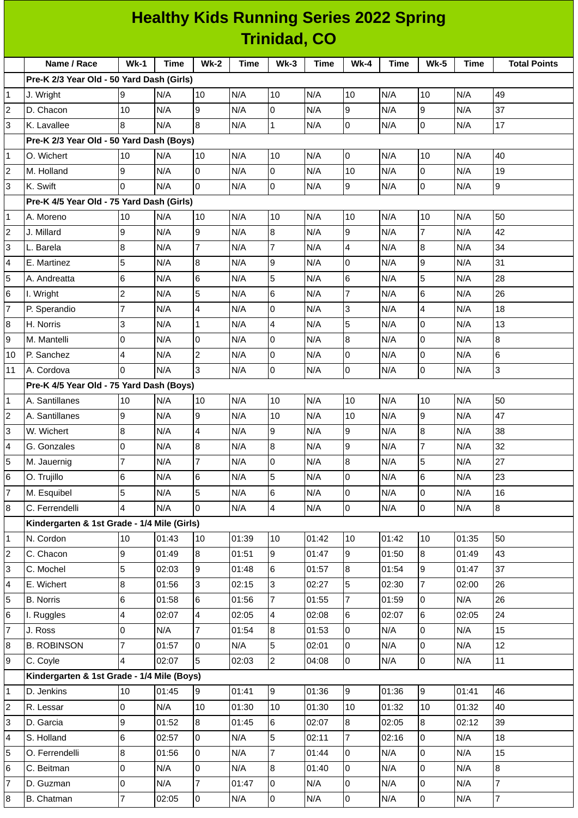|                | <b>Healthy Kids Running Series 2022 Spring</b> |                         |       |                         |             |                          |             |                |       |                         |             |                     |
|----------------|------------------------------------------------|-------------------------|-------|-------------------------|-------------|--------------------------|-------------|----------------|-------|-------------------------|-------------|---------------------|
|                |                                                |                         |       |                         |             | <b>Trinidad, CO</b>      |             |                |       |                         |             |                     |
|                | Name / Race                                    | $Wk-1$                  | Time  | <b>Wk-2</b>             | <b>Time</b> | $Wk-3$                   | <b>Time</b> | <b>Wk-4</b>    | Time  | <b>Wk-5</b>             | <b>Time</b> | <b>Total Points</b> |
|                | Pre-K 2/3 Year Old - 50 Yard Dash (Girls)      |                         |       |                         |             |                          |             |                |       |                         |             |                     |
| 1              | J. Wright                                      | 9                       | N/A   | 10                      | N/A         | 10                       | N/A         | 10             | N/A   | 10                      | N/A         | 49                  |
| 2              | D. Chacon                                      | 10                      | N/A   | 9                       | N/A         | 0                        | N/A         | 9              | N/A   | 9                       | N/A         | 37                  |
| 3              | K. Lavallee                                    | 8                       | N/A   | 8                       | N/A         | $\mathbf{1}$             | N/A         | $\overline{0}$ | N/A   | $\overline{0}$          | N/A         | 17                  |
|                | Pre-K 2/3 Year Old - 50 Yard Dash (Boys)       |                         |       |                         |             |                          |             |                |       |                         |             |                     |
| 1              | O. Wichert                                     | 10                      | N/A   | 10                      | N/A         | 10                       | N/A         | 0              | N/A   | 10                      | N/A         | 40                  |
| $\overline{c}$ | M. Holland                                     | 9                       | N/A   | 0                       | N/A         | 0                        | N/A         | 10             | N/A   | $\overline{0}$          | N/A         | 19                  |
| 3              | K. Swift                                       | $\overline{0}$          | N/A   | $\overline{0}$          | N/A         | 0                        | N/A         | 9              | N/A   | 0                       | N/A         | 9                   |
|                | Pre-K 4/5 Year Old - 75 Yard Dash (Girls)      |                         |       |                         |             |                          |             |                |       |                         |             |                     |
| 1              | A. Moreno                                      | 10                      | N/A   | 10                      | N/A         | 10                       | N/A         | 10             | N/A   | 10                      | N/A         | 50                  |
| 2              | J. Millard                                     | 9                       | N/A   | 9                       | N/A         | 8                        | N/A         | 9              | N/A   | 7                       | N/A         | 42                  |
| 3              | L. Barela                                      | $\bf{8}$                | N/A   | $\overline{7}$          | N/A         | $\overline{7}$           | N/A         | $\overline{4}$ | N/A   | 8                       | N/A         | 34                  |
| 4              | E. Martinez                                    | 5                       | N/A   | $\bf{8}$                | N/A         | 9                        | N/A         | $\overline{0}$ | N/A   | 9                       | N/A         | 31                  |
| 5              | A. Andreatta                                   | 6                       | N/A   | 6                       | N/A         | 5                        | N/A         | 6              | N/A   | 5                       | N/A         | 28                  |
| 6              | I. Wright                                      | $\overline{c}$          | N/A   | 5                       | N/A         | 6                        | N/A         | $\overline{7}$ | N/A   | 6                       | N/A         | 26                  |
| 7              | P. Sperandio                                   | $\overline{7}$          | N/A   | 4                       | N/A         | 0                        | N/A         | 3              | N/A   | $\overline{\mathbf{4}}$ | N/A         | 18                  |
| 8              | H. Norris                                      | 3                       | N/A   | $\mathbf{1}$            | N/A         | $\overline{\mathcal{L}}$ | N/A         | 5              | N/A   | $\overline{0}$          | N/A         | 13                  |
| 9              | M. Mantelli                                    | 0                       | N/A   | 0                       | N/A         | 0                        | N/A         | 8              | N/A   | $\overline{0}$          | N/A         | 8                   |
| 10             | P. Sanchez                                     | 4                       | N/A   | $\overline{c}$          | N/A         | 0                        | N/A         | 0              | N/A   | $\overline{0}$          | N/A         | 6                   |
| 11             | A. Cordova                                     | $\overline{0}$          | N/A   | 3                       | N/A         | 0                        | N/A         | $\overline{0}$ | N/A   | $\overline{0}$          | N/A         | 3                   |
|                | Pre-K 4/5 Year Old - 75 Yard Dash (Boys)       |                         |       |                         |             |                          |             |                |       |                         |             |                     |
| 1              | A. Santillanes                                 | 10                      | N/A   | 10                      | N/A         | 10                       | N/A         | 10             | N/A   | 10                      | N/A         | 50                  |
| 2              | A. Santillanes                                 | 9                       | N/A   | 9                       | N/A         | 10                       | N/A         | 10             | N/A   | 9                       | N/A         | 47                  |
| 3              | W. Wichert                                     | 8                       | N/A   | 4                       | N/A         | 9                        | N/A         | 9              | N/A   | 8                       | N/A         | 38                  |
| 4              | G. Gonzales                                    | lо                      | N/A   | $\overline{8}$          | N/A         | $\overline{8}$           | N/A         | 9              | N/A   | $\overline{7}$          | N/A         | 32                  |
| 5              | M. Jauernig                                    | $\overline{7}$          | N/A   | $\overline{7}$          | N/A         | 0                        | N/A         | 8              | N/A   | 5                       | N/A         | 27                  |
| 6              | O. Trujillo                                    | $\,6$                   | N/A   | 6                       | N/A         | 5                        | N/A         | 0              | N/A   | $\,6$                   | N/A         | 23                  |
| $\overline{7}$ | M. Esquibel                                    | 5                       | N/A   | 5                       | N/A         | 6                        | N/A         | $\overline{0}$ | N/A   | $\overline{0}$          | N/A         | 16                  |
| 8              | C. Ferrendelli                                 | 4                       | N/A   | 0                       | N/A         | 4                        | N/A         | 0              | N/A   | $\overline{0}$          | N/A         | $\bf{8}$            |
|                | Kindergarten & 1st Grade - 1/4 Mile (Girls)    |                         |       |                         |             |                          |             |                |       |                         |             |                     |
| 1              | N. Cordon                                      | 10                      | 01:43 | 10                      | 01:39       | 10                       | 01:42       | 10             | 01:42 | 10                      | 01:35       | 50                  |
| 2              | C. Chacon                                      | 9                       | 01:49 | $8\,$                   | 01:51       | 9                        | 01:47       | 9              | 01:50 | $\bf{8}$                | 01:49       | 43                  |
| 3              | C. Mochel                                      | 5                       | 02:03 | 9                       | 01:48       | 6                        | 01:57       | 8              | 01:54 | 9                       | 01:47       | 37                  |
| 4              | E. Wichert                                     | $\bf{8}$                | 01:56 | 3                       | 02:15       | 3                        | 02:27       | 5              | 02:30 | $\overline{7}$          | 02:00       | 26                  |
| 5              | <b>B.</b> Norris                               | 6                       | 01:58 | 6                       | 01:56       | 7                        | 01:55       | 7              | 01:59 | 0                       | N/A         | 26                  |
| 6              | I. Ruggles                                     | $\overline{\mathbf{4}}$ | 02:07 | $\overline{\mathbf{4}}$ | 02:05       | 4                        | 02:08       | 6              | 02:07 | $6\phantom{.}6$         | 02:05       | 24                  |
| 7              | J. Ross                                        | 0                       | N/A   | 7                       | 01:54       | 8                        | 01:53       | 0              | N/A   | $\overline{0}$          | N/A         | 15                  |
| 8              | <b>B. ROBINSON</b>                             | $\overline{7}$          | 01:57 | $\pmb{0}$               | N/A         | 5                        | 02:01       | 0              | N/A   | $\overline{0}$          | N/A         | 12                  |
| 9              | C. Coyle                                       | $\overline{4}$          | 02:07 | 5                       | 02:03       | $\overline{2}$           | 04:08       | 0              | N/A   | $\overline{0}$          | N/A         | 11                  |
|                | Kindergarten & 1st Grade - 1/4 Mile (Boys)     |                         |       |                         |             |                          |             |                |       |                         |             |                     |
| 1              | D. Jenkins                                     | 10                      | 01:45 | 9                       | 01:41       | 9                        | 01:36       | 9              | 01:36 | 9                       | 01:41       | 46                  |
| $\overline{c}$ | R. Lessar                                      | $\mathsf 0$             | N/A   | 10                      | 01:30       | 10                       | 01:30       | $10\,$         | 01:32 | 10                      | 01:32       | 40                  |
| 3              | D. Garcia                                      | 9                       | 01:52 | 8                       | 01:45       | 6                        | 02:07       | 8              | 02:05 | $\overline{8}$          | 02:12       | 39                  |
| 4              | S. Holland                                     | $6\phantom{a}$          | 02:57 | 0                       | N/A         | 5                        | 02:11       | $\overline{7}$ | 02:16 | $\mathsf 0$             | N/A         | 18                  |
| 5              | O. Ferrendelli                                 | $\, 8$                  | 01:56 | 0                       | N/A         | $\overline{7}$           | 01:44       | 0              | N/A   | $\overline{0}$          | N/A         | 15                  |
| 6              | C. Beitman                                     | $\mathsf 0$             | N/A   | 0                       | N/A         | 8                        | 01:40       | 0              | N/A   | $\mathsf 0$             | N/A         | $\overline{8}$      |
| 7              | D. Guzman                                      | $\overline{0}$          | N/A   | $\overline{7}$          | 01:47       | $\mathbf 0$              | N/A         | 0              | N/A   | $\mathsf 0$             | N/A         | $\overline{7}$      |
| 8              | B. Chatman                                     | $\overline{7}$          | 02:05 | $\mathsf{O}\xspace$     | N/A         | $\overline{0}$           | N/A         | $\overline{0}$ | N/A   | 0                       | N/A         | $\overline{7}$      |